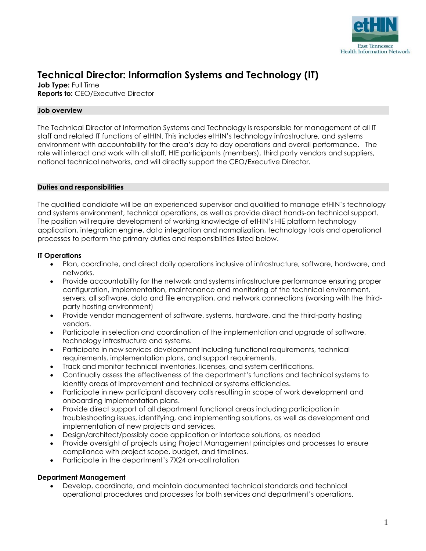

# **Technical Director: Information Systems and Technology (IT)**

**Job Type:** Full Time **Reports to:** CEO/Executive Director

## **Job overview**

The Technical Director of Information Systems and Technology is responsible for management of all IT staff and related IT functions of etHIN. This includes etHIN's technology infrastructure, and systems environment with accountability for the area's day to day operations and overall performance. The role will interact and work with all staff, HIE participants (members), third party vendors and suppliers, national technical networks, and will directly support the CEO/Executive Director.

### **Duties and responsibilities**

The qualified candidate will be an experienced supervisor and qualified to manage etHIN's technology and systems environment, technical operations, as well as provide direct hands-on technical support. The position will require development of working knowledge of etHIN's HIE platform technology application, integration engine, data integration and normalization, technology tools and operational processes to perform the primary duties and responsibilities listed below.

### **IT Operations**

- Plan, coordinate, and direct daily operations inclusive of infrastructure, software, hardware, and networks.
- Provide accountability for the network and systems infrastructure performance ensuring proper configuration, implementation, maintenance and monitoring of the technical environment, servers, all software, data and file encryption, and network connections (working with the thirdparty hosting environment)
- Provide vendor management of software, systems, hardware, and the third-party hosting vendors.
- Participate in selection and coordination of the implementation and upgrade of software, technology infrastructure and systems.
- Participate in new services development including functional requirements, technical requirements, implementation plans, and support requirements.
- Track and monitor technical inventories, licenses, and system certifications.
- Continually assess the effectiveness of the department's functions and technical systems to identify areas of improvement and technical or systems efficiencies.
- Participate in new participant discovery calls resulting in scope of work development and onboarding implementation plans.
- Provide direct support of all department functional areas including participation in troubleshooting issues, identifying, and implementing solutions, as well as development and implementation of new projects and services.
- Design/architect/possibly code application or interface solutions, as needed
- Provide oversight of projects using Project Management principles and processes to ensure compliance with project scope, budget, and timelines.
- Participate in the department's 7X24 on-call rotation

# **Department Management**

• Develop, coordinate, and maintain documented technical standards and technical operational procedures and processes for both services and department's operations.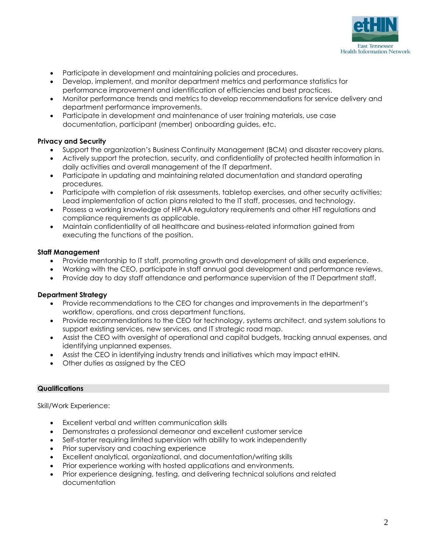

- Participate in development and maintaining policies and procedures.
- Develop, implement, and monitor department metrics and performance statistics for performance improvement and identification of efficiencies and best practices.
- Monitor performance trends and metrics to develop recommendations for service delivery and department performance improvements.
- Participate in development and maintenance of user training materials, use case documentation, participant (member) onboarding guides, etc.

### **Privacy and Security**

- Support the organization's Business Continuity Management (BCM) and disaster recovery plans.
- Actively support the protection, security, and confidentiality of protected health information in daily activities and overall management of the IT department.
- Participate in updating and maintaining related documentation and standard operating procedures.
- Participate with completion of risk assessments, tabletop exercises, and other security activities; Lead implementation of action plans related to the IT staff, processes, and technology.
- Possess a working knowledge of HIPAA regulatory requirements and other HIT regulations and compliance requirements as applicable.
- Maintain confidentiality of all healthcare and business-related information gained from executing the functions of the position.

### **Staff Management**

- Provide mentorship to IT staff, promoting growth and development of skills and experience.
- Working with the CEO, participate in staff annual goal development and performance reviews.
- Provide day to day staff attendance and performance supervision of the IT Department staff.

### **Department Strategy**

- Provide recommendations to the CEO for changes and improvements in the department's workflow, operations, and cross department functions.
- Provide recommendations to the CEO for technology, systems architect, and system solutions to support existing services, new services, and IT strategic road map.
- Assist the CEO with oversight of operational and capital budgets, tracking annual expenses, and identifying unplanned expenses.
- Assist the CEO in identifying industry trends and initiatives which may impact etHIN.
- Other duties as assigned by the CEO

#### **Qualifications**

Skill/Work Experience:

- Excellent verbal and written communication skills
- Demonstrates a professional demeanor and excellent customer service
- Self-starter requiring limited supervision with ability to work independently
- Prior supervisory and coaching experience
- Excellent analytical, organizational, and documentation/writing skills
- Prior experience working with hosted applications and environments.
- Prior experience designing, testing, and delivering technical solutions and related documentation